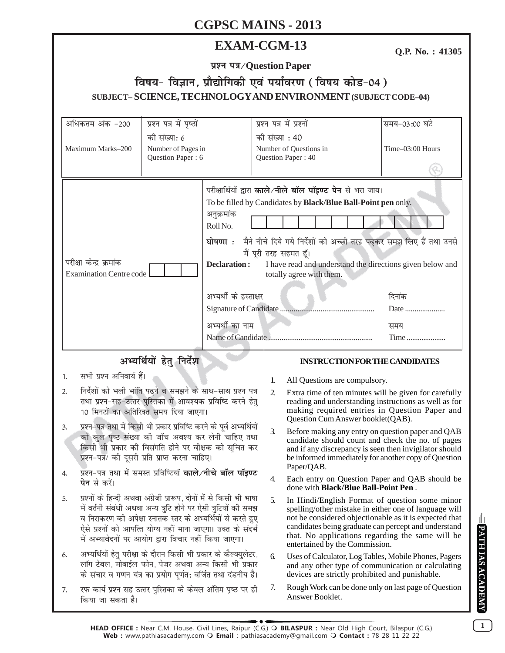# **EXAM-CGM-13**

Q.P. No.: 41305

प्रश्न पत्र/Question Paper

# विषय- विज्ञान, प्रौद्योगिकी एवं पर्यावरण (विषय कोड-04) SUBJECT-SCIENCE, TECHNOLOGY AND ENVIRONMENT (SUBJECT CODE-04)

| अधिकतम अंक -200                                                                                                                                                                                                                                                                                                                                                                                                             | प्रश्न पत्र में पृष्ठों                                 |                                                                                    | प्रश्न पत्र में प्रश्नों                                                                                                                                                                                                                                                                                                                                                 |                                                                                                                                                                                                                                                                                                                 | समय-03:00 घंटे                                       |  |
|-----------------------------------------------------------------------------------------------------------------------------------------------------------------------------------------------------------------------------------------------------------------------------------------------------------------------------------------------------------------------------------------------------------------------------|---------------------------------------------------------|------------------------------------------------------------------------------------|--------------------------------------------------------------------------------------------------------------------------------------------------------------------------------------------------------------------------------------------------------------------------------------------------------------------------------------------------------------------------|-----------------------------------------------------------------------------------------------------------------------------------------------------------------------------------------------------------------------------------------------------------------------------------------------------------------|------------------------------------------------------|--|
| Maximum Marks-200                                                                                                                                                                                                                                                                                                                                                                                                           | को संख्या: 6<br>Number of Pages in<br>Question Paper: 6 |                                                                                    | की संख्या : 40<br>Number of Questions in<br>Question Paper: 40                                                                                                                                                                                                                                                                                                           |                                                                                                                                                                                                                                                                                                                 | Time-03:00 Hours                                     |  |
| परीक्षा केन्द्र क्रमांक<br><b>Examination Centre code</b>                                                                                                                                                                                                                                                                                                                                                                   |                                                         | अनुक्रमांक<br>Roll No.<br>घोषणा <b>ः</b><br><b>Declaration:</b><br>अभ्यर्थी का नाम | परीक्षार्थियों द्वारा काले/नीले बॉल पॉइण्ट पेन से भरा जाय।<br>To be filled by Candidates by Black/Blue Ball-Point pen only.<br>मैने नीचे दिये गये निर्देशों को अच्छी तरह पढ़कर समझ लिए हैं तथा उनसे<br>मैं पूरी तरह सहमत हूँ।<br>I have read and understand the directions given below and<br>totally agree with them.<br>अभ्यर्थी के हस्ताक्षर<br>दिनांक<br>समय<br>Time |                                                                                                                                                                                                                                                                                                                 | Date                                                 |  |
|                                                                                                                                                                                                                                                                                                                                                                                                                             |                                                         |                                                                                    |                                                                                                                                                                                                                                                                                                                                                                          |                                                                                                                                                                                                                                                                                                                 |                                                      |  |
| अभ्यर्थियों हेतु निर्देश                                                                                                                                                                                                                                                                                                                                                                                                    |                                                         |                                                                                    |                                                                                                                                                                                                                                                                                                                                                                          | <b>INSTRUCTION FOR THE CANDIDATES</b>                                                                                                                                                                                                                                                                           |                                                      |  |
| सभी प्रश्न अनिवार्य हैं।<br>1.                                                                                                                                                                                                                                                                                                                                                                                              |                                                         | 1.                                                                                 | All Questions are compulsory.                                                                                                                                                                                                                                                                                                                                            |                                                                                                                                                                                                                                                                                                                 |                                                      |  |
| निर्देशों को भली भांति पढ़ने व समझने के साथ-साथ प्रश्न पत्र<br>2.<br>तथा प्रश्न-सह-उत्तर पुस्तिका में आवश्यक प्रविष्टि करने हेतु<br>10 मिनटों का अतिरिक्त समय दिया जाएगा।<br>प्रश्न-पत्र तथा में किसी भी प्रकार प्रविष्टि करने के पूर्व अभ्यर्थियों<br>3.<br>को कुल पृष्ठ संख्या की जाँच अवश्य कर लेनी चाहिए तथा<br>किसी भी प्रकार की विसंगति होने पर वीक्षक को सूचित कर<br>प्रश्न-पत्र/ की दूसरी प्रति प्राप्त करना चाहिए। |                                                         |                                                                                    | 2.                                                                                                                                                                                                                                                                                                                                                                       | Extra time of ten minutes will be given for carefully<br>reading and understanding instructions as well as for<br>making required entries in Question Paper and<br>Question Cum Answer booklet(QAB).                                                                                                            |                                                      |  |
|                                                                                                                                                                                                                                                                                                                                                                                                                             |                                                         |                                                                                    | 3.                                                                                                                                                                                                                                                                                                                                                                       | Before making any entry on question paper and QAB<br>candidate should count and check the no. of pages<br>and if any discrepancy is seen then invigilator should<br>be informed immediately for another copy of Question<br>Paper/QAB.                                                                          |                                                      |  |
| प्रश्न-पत्र तथा में समस्त प्रविष्टियाँ काले/नीचे बॉल पॉइण्ट<br><b>पेन</b> से करें।                                                                                                                                                                                                                                                                                                                                          |                                                         |                                                                                    | 4.                                                                                                                                                                                                                                                                                                                                                                       | done with Black/Blue Ball-Point Pen.                                                                                                                                                                                                                                                                            | Each entry on Question Paper and QAB should be       |  |
| प्रश्नों के हिन्दी अथवा अंग्रेजी प्रारूप, दोनों में से किसी भी भाषा<br>5.<br>में वर्तनी संबंधी अथवा अन्य त्रुटि होने पर ऐसी त्रुटियों की समझ<br>व निराकरण की अपेक्षा स्नातक स्तर के अभ्यर्थियों से करते हुए<br>ऐसे प्रश्नों को आपत्ति योग्य नहीं माना जाएगा। उक्त के संदर्भ<br>में अभ्यावेदनों पर आयोग द्वारा विचार नहीं किया जाएगा।                                                                                        |                                                         |                                                                                    | 5.                                                                                                                                                                                                                                                                                                                                                                       | In Hindi/English Format of question some minor<br>spelling/other mistake in either one of language will<br>not be considered objectionable as it is expected that<br>candidates being graduate can percept and understand<br>that. No applications regarding the same will be<br>entertained by the Commission. |                                                      |  |
| अभ्यर्थियों हेतु परीक्षा के दौरान किसी भी प्रकार के कैल्क्युलेटर,<br>6.<br>लॉग टेबल, मोबाईल फोन, पेजर अथवा अन्य किसी भी प्रकार<br>के संचार व गणन यंत्र का प्रयोग पूर्णत: वर्जित तथा दंडनीय है।                                                                                                                                                                                                                              |                                                         |                                                                                    | 6.                                                                                                                                                                                                                                                                                                                                                                       | Uses of Calculator, Log Tables, Mobile Phones, Pagers<br>and any other type of communication or calculating<br>devices are strictly prohibited and punishable.                                                                                                                                                  |                                                      |  |
| रफ कार्य प्रश्न सह उत्तर पुस्तिका के केवल अंतिम पृष्ठ पर ही<br>7.<br>किया जा सकता है।                                                                                                                                                                                                                                                                                                                                       |                                                         |                                                                                    | 7.                                                                                                                                                                                                                                                                                                                                                                       | Answer Booklet.                                                                                                                                                                                                                                                                                                 | Rough Work can be done only on last page of Question |  |

 $\mathbf{1}$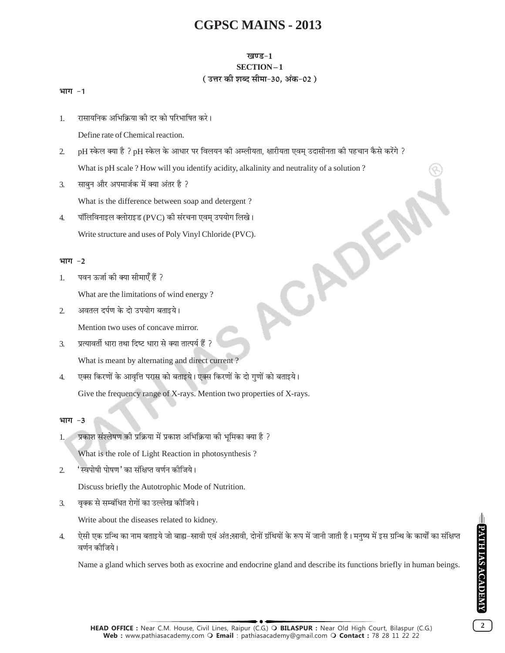### खण्ड-1

#### SECTION-1 ( उत्तर की शब्द सीमा-30. अंक-02)

CAD

#### भाग -1

रासायनिक अभिक्रिया की दर को परिभाषित करे।  $1.$ 

Define rate of Chemical reaction.

- $2.$ pH स्केल क्या है ? pH स्केल के आधार पर विलयन की अम्लीयता, क्षारीयता एवम् उदासीनता की पहचान कैसे करेंगे ? What is pH scale ? How will you identify acidity, alkalinity and neutrality of a solution ?
- साबून और अपमार्जक में क्या अंतर है ?  $\mathfrak{Z}$ .

What is the difference between soap and detergent?

पॉलिविनाइल क्लोराइड (PVC) की संरचना एवम् उपयोग लिखे।  $\overline{4}$ . Write structure and uses of Poly Vinyl Chloride (PVC).

### भाग $-2$

पवन ऊर्जा की क्या सीमाएँ हैं ? 1.

What are the limitations of wind energy?

अवतल दर्पण के दो उपयोग बताइये।  $\mathcal{L}$ 

Mention two uses of concave mirror.

- प्रत्यावर्ती धारा तथा दिष्ट धारा से क्या तात्पर्य हैं ?  $\overline{3}$ . What is meant by alternating and direct current?
- एक्स किरणों के आवृत्ति परास को बताइये। एक्स किरणों के दो गुणों को बताइये।  $\overline{4}$ . Give the frequency range of X-rays. Mention two properties of X-rays.

#### भाग  $-3$

प्रकाश संश्लेषण की प्रक्रिया में प्रकाश अभिक्रिया की भमिका क्या है ?  $1.$ 

What is the role of Light Reaction in photosynthesis?

'स्वपोषी पोषण' का संक्षिप्त वर्णन कोजिये।  $\overline{2}$ .

Discuss briefly the Autotrophic Mode of Nutrition.

वृक्क से सम्बंधित रोगों का उल्लेख कीजिये।  $\overline{3}$ .

Write about the diseases related to kidney.

ऐसी एक ग्रन्थि का नाम बताइये जो बाह्य-स्रावी एवं अंत:स्रावी, दोनों ग्रंथियों के रूप में जानी जाती है। मनुष्य में इस ग्रन्थि के कार्यों का संक्षिप्त  $\overline{4}$ . वर्णन कीजिये।

Name a gland which serves both as exocrine and endocrine gland and describe its functions briefly in human beings.

 $\overline{2}$ 

HEAD OFFICE : Near C.M. House, Civil Lines, Raipur (C.G.) O BILASPUR : Near Old High Court, Bilaspur (C.G.) Web: www.pathiasacademy.com O Email: pathiasacademy@gmail.com O Contact: 78 28 11 22 22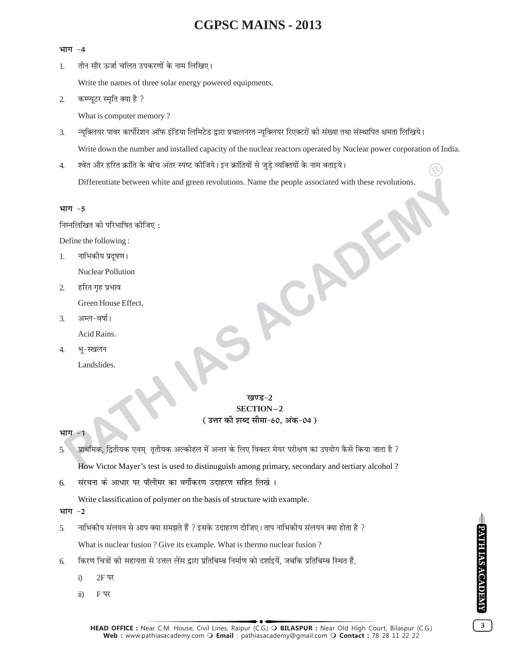#### भाग -4

तीन सौर ऊर्जा चलित उपकरणों के नाम लिखिए।  $\mathbf{1}$ 

Write the names of three solar energy powered equipments.

 $\overline{2}$ . कम्प्यूटर स्मृति क्या है ?

What is computer memory?

न्यूक्लियर पावर कार्पोरेशन ऑफ इंडिया लिमिटेड द्वारा प्रचालनरत न्यूक्लियर रिएक्टरों की संख्या तथा संस्थापित क्षमता लिखिये।  $\mathfrak{Z}$ . Write down the number and installed capacity of the nuclear reactors operated by Nuclear power corporation of India.

श्वेत और हरित क्रांति के बीच अंतर स्पष्ट कीजिये। इन क्रांतियों से जुडे व्यक्तियों के नाम बताइये।  $\overline{4}$ .

Differentiate between white and green revolutions. Name the people associated with these revolutions.

#### भाग -5

निम्नलिखित को परिभाषित कीजिए:

Define the following:

- नाभिकीय प्रदुषण । 1. Nuclear Pollution
- हरित गृह प्रभाव  $\overline{2}$ . Green House Effect.
- $\mathcal{F}_{\mathcal{L}}$ अम्ल-वर्षा। Acid Rains.
- भू-स्खलन  $\overline{4}$ .
	- Landslides.

### खण्ड-2 SECTION-2 ( उत्तर की शब्द सीमा-60, अंक-04 )

#### भाग

- प्राथमिक, द्वितीयक एवम् तृतीयक अल्कोहल में अन्तर के लिए विक्टर मेयर परीक्षण का उपयोग कैसे किया जाता है ? 5. How Victor Mayer's test is used to distinuguish among primary, secondary and tertiary alcohol?
- संरचना के आधार पर पॉलीमर का वर्गीकरण उदाहरण सहित लिखे। 6.

Write classification of polymer on the basis of structure with example.

भाग -2

- नाभिकीय संलयन से आप क्या समझते हैं ? इसके उदाहरण दीजिए। ताप नाभिकीय संलयन क्या होता है ? 5. What is nuclear fusion ? Give its example. What is thermo nuclear fusion ?
- किरण चित्रों की सहायता से उत्तल लेंस द्वारा प्रतिबिम्ब निर्माण को दर्शाइयें, जबकि प्रतिबिम्ब स्थित हैं, 6.
	- $\ddot{1}$  $2F$ पर
	- $F \nabla$  $\ddot{u}$ )

 $\overline{3}$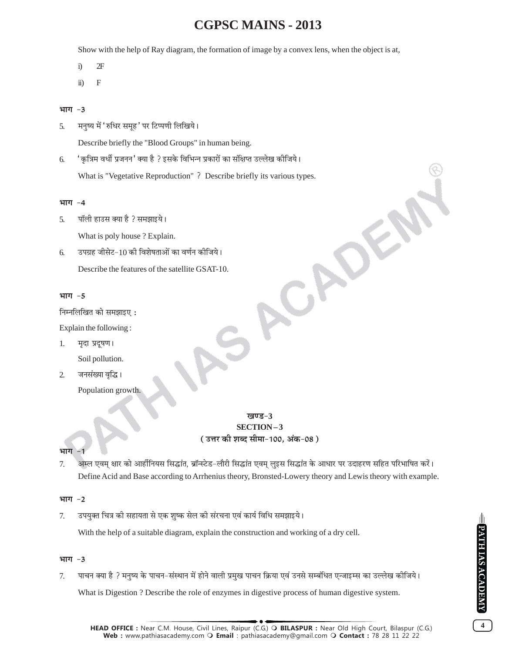Show with the help of Ray diagram, the formation of image by a convex lens, when the object is at,

- $\ddot{1}$  $2F$
- $\overline{F}$  $\ddot{u}$ )

#### भाग -3

मनृष्य में 'रुधिर समूह' पर टिप्पणी लिखिये। 5.

Describe briefly the "Blood Groups" in human being.

'कृत्रिम वर्धी प्रजनन' क्या है ? इसके विभिन्न प्रकारों का संक्षिप्त उल्लेख कीजिये। 6. What is "Vegetative Reproduction"? Describe briefly its various types.

#### भाग $-4$

पॉली हाउस क्या है ? समझाइये। 5.

What is poly house? Explain.

उपग्रह जीसेट-10 की विशेषताओं का वर्णन कीजिये। 6. Describe the features of the satellite GSAT-10.

### भाग $-5$

निम्नलिखित को समझाइए:

Explain the following:

- 1. मृदा प्रदूषण। Soil pollution.
- जनसंख्या वृद्धि।  $\overline{2}$ 
	- Population growth.

### खण्ड-3 SECTION-3 ( उत्तर की शब्द सीमा-100, अंक-08 )

ACADE

#### भाग

अम्ल एवम् क्षार को आर्हीनियस सिद्धांत, ब्रॉन्स्टेड-लौरी सिद्धांत एवम् लुइस सिद्धांत के आधार पर उदाहरण सहित परिभाषित करें। 7. Define Acid and Base according to Arrhenius theory, Bronsted-Lowery theory and Lewis theory with example.

#### भाग $-2$

उपयुक्त चित्र की सहायता से एक शुष्क सेल की संरचना एवं कार्य विधि समझाइये। 7.

With the help of a suitable diagram, explain the construction and working of a dry cell.

#### भाग $-3$

पाचन क्या है ? मनुष्य के पाचन-संस्थान में होने वाली प्रमुख पाचन क्रिया एवं उनसे सम्बंधित एन्जाइम्स का उल्लेख कीजिये। 7.

What is Digestion ? Describe the role of enzymes in digestive process of human digestive system.

 $\overline{\mathbf{4}}$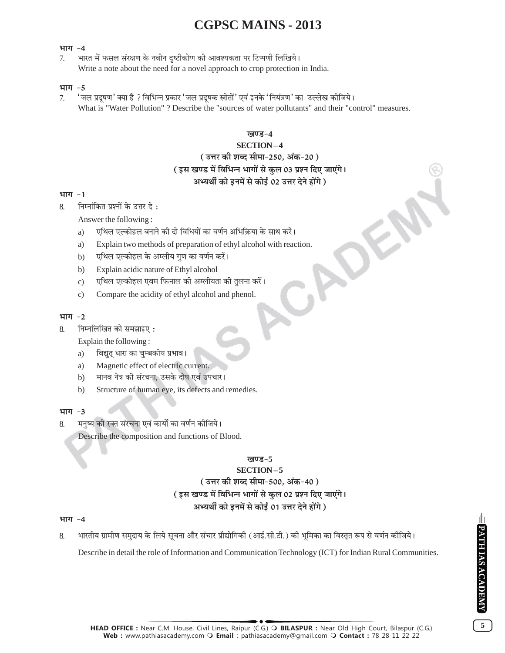#### भाग -4

भारत में फसल संरक्षण के नवीन दृष्टीकोण की आवश्यकता पर टिप्पणी लिखिये। 7. Write a note about the need for a novel approach to crop protection in India.

#### भाग $-5$

' जल प्रदूषण ' क्या है ? विभिन्न प्रकार ' जल प्रदूषक स्रोतों ' एवं इनके ' नियंत्रण ' का उल्लेख कीजिये। 7 What is "Water Pollution"? Describe the "sources of water pollutants" and their "control" measures.

#### खण्ड-4

#### **SECTION-4**

#### ( उत्तर की शब्द सीमा-250, अंक-20 )

### (इस खण्ड में विभिन्न भागों से कुल 03 प्रश्न दिए जाएंगे।

### अभ्यर्थी को इनमें से कोई 02 उत्तर देने होंगे)

#### भाग -1

निम्नांकित प्रश्नों के उत्तर दे :  $\mathsf{R}$ 

Answer the following:

- एथिल एल्कोहल बनाने की दो विधियों का वर्णन अभिक्रिया के साथ करें। a)
- Explain two methods of preparation of ethyl alcohol with reaction. a)
- एथिल एल्कोहल के अम्लीय गुण का वर्णन करें।  $b)$
- Explain acidic nature of Ethyl alcohol  $b)$
- एथिल एल्कोहल एवम फिनाल की अम्लीयता की तुलना करें।  $\mathbf{c})$
- Compare the acidity of ethyl alcohol and phenol.  $\mathbf{c})$

#### भाग -2

निम्नलिखित को समझाइए: 8.

Explain the following:

- विद्युत् धारा का चुम्बकीय प्रभाव। a)
- a) Magnetic effect of electric current.
- मानव नेत्र की संरचना, उसके दोष एवं उपचार।  $b)$
- Structure of human eye, its defects and remedies.  $b)$

#### भाग $-3$

- मनृष्य की रक्त संरचना एवं कार्यों का वर्णन कीजिये।  $\mathbf{8}$ 
	- Describe the composition and functions of Blood.

#### खण्ड-5

### SECTION-5 (उत्तर की शब्द सीमा-500, अंक-40) (इस खण्ड में विभिन्न भागों से कुल 02 प्रश्न दिए जाएंगे। अभ्यर्थी को इनमें से कोई 01 उत्तर देने होंगे)

#### भाग -4

भारतीय ग्रामीण समुदाय के लिये सूचना और संचार प्रौद्योगिकी (आई.सी.टी.) की भूमिका का विस्तृत रूप से वर्णन कीजिये। 8.

Describe in detail the role of Information and Communication Technology (ICT) for Indian Rural Communities.